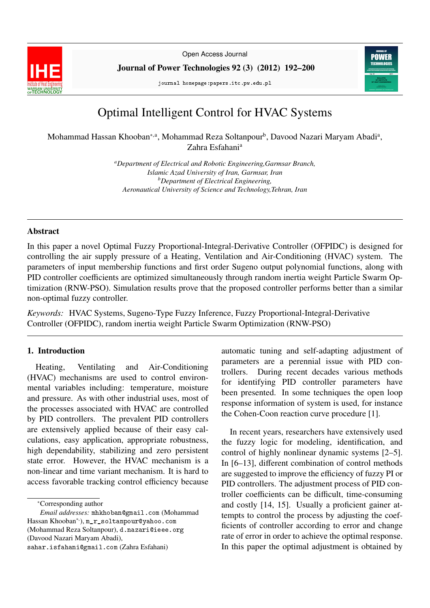

Open Access Journal

Journal of Power Technologies 92 (3) (2012) 192–200

journal homepage:papers.itc.pw.edu.pl



# Optimal Intelligent Control for HVAC Systems

Mohammad Hassan Khooban\*<sup>,a</sup>, Mohammad Reza Soltanpour<sup>b</sup>, Davood Nazari Maryam Abadi<sup>a</sup>, Zahra Esfahani<sup>a</sup>

> *<sup>a</sup>Department of Electrical and Robotic Engineering,Garmsar Branch, Islamic Azad University of Iran, Garmsar, Iran <sup>b</sup>Department of Electrical Engineering, Aeronautical University of Science and Technology,Tehran, Iran*

#### Abstract

In this paper a novel Optimal Fuzzy Proportional-Integral-Derivative Controller (OFPIDC) is designed for controlling the air supply pressure of a Heating, Ventilation and Air-Conditioning (HVAC) system. The parameters of input membership functions and first order Sugeno output polynomial functions, along with PID controller coefficients are optimized simultaneously through random inertia weight Particle Swarm Optimization (RNW-PSO). Simulation results prove that the proposed controller performs better than a similar non-optimal fuzzy controller.

*Keywords:* HVAC Systems, Sugeno-Type Fuzzy Inference, Fuzzy Proportional-Integral-Derivative Controller (OFPIDC), random inertia weight Particle Swarm Optimization (RNW-PSO)

## 1. Introduction

Heating, Ventilating and Air-Conditioning (HVAC) mechanisms are used to control environmental variables including: temperature, moisture and pressure. As with other industrial uses, most of the processes associated with HVAC are controlled by PID controllers. The prevalent PID controllers are extensively applied because of their easy calculations, easy application, appropriate robustness, high dependability, stabilizing and zero persistent state error. However, the HVAC mechanism is a non-linear and time variant mechanism. It is hard to access favorable tracking control efficiency because

<sup>∗</sup>Corresponding author

sahar.isfahani@gmail.com (Zahra Esfahani)

automatic tuning and self-adapting adjustment of parameters are a perennial issue with PID controllers. During recent decades various methods for identifying PID controller parameters have been presented. In some techniques the open loop response information of system is used, for instance the Cohen-Coon reaction curve procedure [1].

In recent years, researchers have extensively used the fuzzy logic for modeling, identification, and control of highly nonlinear dynamic systems [2–5]. In [6–13], different combination of control methods are suggested to improve the efficiency of fuzzy PI or PID controllers. The adjustment process of PID controller coefficients can be difficult, time-consuming and costly [14, 15]. Usually a proficient gainer attempts to control the process by adjusting the coefficients of controller according to error and change rate of error in order to achieve the optimal response. In this paper the optimal adjustment is obtained by

*Email addresses:* mhkhoban@gmail.com (Mohammad Hassan Khooban<sup>∗</sup>, ), m\_r\_soltanpour@yahoo.com (Mohammad Reza Soltanpour), d.nazari@ieee.org (Davood Nazari Maryam Abadi),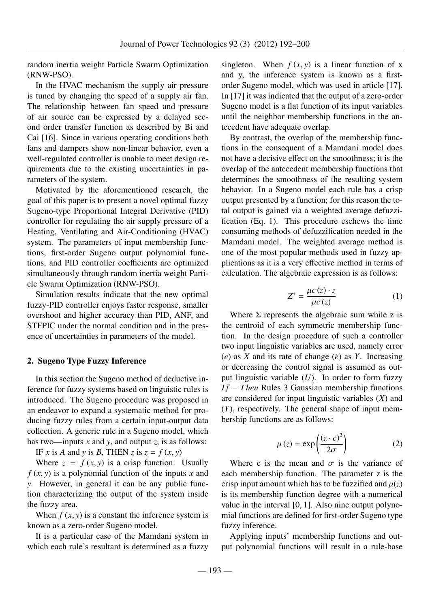random inertia weight Particle Swarm Optimization (RNW-PSO).

In the HVAC mechanism the supply air pressure is tuned by changing the speed of a supply air fan. The relationship between fan speed and pressure of air source can be expressed by a delayed second order transfer function as described by Bi and Cai [16]. Since in various operating conditions both fans and dampers show non-linear behavior, even a well-regulated controller is unable to meet design requirements due to the existing uncertainties in parameters of the system.

Motivated by the aforementioned research, the goal of this paper is to present a novel optimal fuzzy Sugeno-type Proportional Integral Derivative (PID) controller for regulating the air supply pressure of a Heating, Ventilating and Air-Conditioning (HVAC) system. The parameters of input membership functions, first-order Sugeno output polynomial functions, and PID controller coefficients are optimized simultaneously through random inertia weight Particle Swarm Optimization (RNW-PSO).

Simulation results indicate that the new optimal fuzzy-PID controller enjoys faster response, smaller overshoot and higher accuracy than PID, ANF, and STFPIC under the normal condition and in the presence of uncertainties in parameters of the model.

## 2. Sugeno Type Fuzzy Inference

In this section the Sugeno method of deductive inference for fuzzy systems based on linguistic rules is introduced. The Sugeno procedure was proposed in an endeavor to expand a systematic method for producing fuzzy rules from a certain input-output data collection. A generic rule in a Sugeno model, which has two—inputs *x* and *y*, and output *z*, is as follows:

IF *x* is *A* and *y* is *B*, THEN *z* is  $z = f(x, y)$ 

Where  $z = f(x, y)$  is a crisp function. Usually  $f(x, y)$  is a polynomial function of the inputs x and *y*. However, in general it can be any public function characterizing the output of the system inside the fuzzy area.

When  $f(x, y)$  is a constant the inference system is known as a zero-order Sugeno model.

It is a particular case of the Mamdani system in which each rule's resultant is determined as a fuzzy

singleton. When  $f(x, y)$  is a linear function of x and y, the inference system is known as a firstorder Sugeno model, which was used in article [17]. In [17] it was indicated that the output of a zero-order Sugeno model is a flat function of its input variables until the neighbor membership functions in the antecedent have adequate overlap.

By contrast, the overlap of the membership functions in the consequent of a Mamdani model does not have a decisive effect on the smoothness; it is the overlap of the antecedent membership functions that determines the smoothness of the resulting system behavior. In a Sugeno model each rule has a crisp output presented by a function; for this reason the total output is gained via a weighted average defuzzification (Eq. 1). This procedure eschews the time consuming methods of defuzzification needed in the Mamdani model. The weighted average method is one of the most popular methods used in fuzzy applications as it is a very effective method in terms of calculation. The algebraic expression is as follows:

$$
Z^* = \frac{\mu c(z) \cdot z}{\mu c(z)} \tag{1}
$$

Where  $\Sigma$  represents the algebraic sum while z is the centroid of each symmetric membership function. In the design procedure of such a controller two input linguistic variables are used, namely error  $(e)$  as *X* and its rate of change  $(e)$  as *Y*. Increasing or decreasing the control signal is assumed as output linguistic variable (*U*). In order to form fuzzy *If* − *Then* Rules 3 Gaussian membership functions are considered for input linguistic variables (*X*) and (*Y*), respectively. The general shape of input membership functions are as follows:

$$
\mu(z) = \exp\left(\frac{(z \cdot c)^2}{2\sigma}\right) \tag{2}
$$

Where c is the mean and  $\sigma$  is the variance of<br>ch membership function. The parameter z is the each membership function. The parameter z is the crisp input amount which has to be fuzzified and  $\mu(z)$ is its membership function degree with a numerical value in the interval [0, 1]. Also nine output polynomial functions are defined for first-order Sugeno type fuzzy inference.

Applying inputs' membership functions and output polynomial functions will result in a rule-base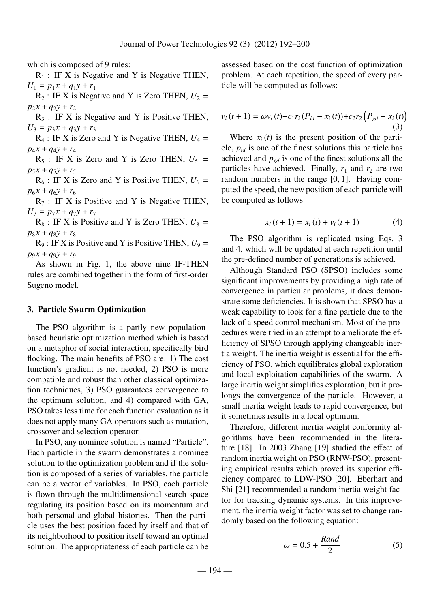which is composed of 9 rules:

 $R_1$ : IF X is Negative and Y is Negative THEN,  $U_1 = p_1 x + q_1 y + r_1$ 

 $R_2$ : IF X is Negative and Y is Zero THEN,  $U_2$  =  $p_2 x + q_2 y + r_2$ 

 $R_3$ : IF X is Negative and Y is Positive THEN,  $U_3 = p_3 x + q_3 y + r_3$ 

 $R_4$  : IF X is Zero and Y is Negative THEN,  $U_4$  =  $p_4 x + q_4 y + r_4$ 

 $R_5$ : IF X is Zero and Y is Zero THEN,  $U_5$  =  $p_5 x + q_5 y + r_5$ 

 $R_6$ : IF X is Zero and Y is Positive THEN,  $U_6$  =  $p_6 x + q_6 y + r_6$ 

 $R_7$ : IF X is Positive and Y is Negative THEN,  $U_7 = p_7 x + q_7 y + r_7$ 

 $R_8$ : IF X is Positive and Y is Zero THEN,  $U_8$  =  $p_8 x + q_8 y + r_8$ 

 $R_9$ : IF X is Positive and Y is Positive THEN,  $U_9$  =  $p_9 x + q_9 y + r_9$ 

As shown in Fig. 1, the above nine IF-THEN rules are combined together in the form of first-order Sugeno model.

#### 3. Particle Swarm Optimization

The PSO algorithm is a partly new populationbased heuristic optimization method which is based on a metaphor of social interaction, specifically bird flocking. The main benefits of PSO are: 1) The cost function's gradient is not needed, 2) PSO is more compatible and robust than other classical optimization techniques, 3) PSO guarantees convergence to the optimum solution, and 4) compared with GA, PSO takes less time for each function evaluation as it does not apply many GA operators such as mutation, crossover and selection operator.

In PSO, any nominee solution is named "Particle". Each particle in the swarm demonstrates a nominee solution to the optimization problem and if the solution is composed of a series of variables, the particle can be a vector of variables. In PSO, each particle is flown through the multidimensional search space regulating its position based on its momentum and both personal and global histories. Then the particle uses the best position faced by itself and that of its neighborhood to position itself toward an optimal solution. The appropriateness of each particle can be

assessed based on the cost function of optimization problem. At each repetition, the speed of every particle will be computed as follows:

$$
v_i(t + 1) = \omega v_i(t) + c_1 r_i (P_{id} - x_i(t)) + c_2 r_2 (P_{gd} - x_i(t))
$$
\n(3)

Where  $x_i(t)$  is the present position of the particle,  $p_{id}$  is one of the finest solutions this particle has achieved and  $p_{gd}$  is one of the finest solutions all the particles have achieved. Finally,  $r_1$  and  $r_2$  are two random numbers in the range [0, 1]. Having computed the speed, the new position of each particle will be computed as follows

$$
x_i(t+1) = x_i(t) + v_i(t+1)
$$
 (4)

The PSO algorithm is replicated using Eqs. 3 and 4, which will be updated at each repetition until the pre-defined number of generations is achieved.

Although Standard PSO (SPSO) includes some significant improvements by providing a high rate of convergence in particular problems, it does demonstrate some deficiencies. It is shown that SPSO has a weak capability to look for a fine particle due to the lack of a speed control mechanism. Most of the procedures were tried in an attempt to ameliorate the efficiency of SPSO through applying changeable inertia weight. The inertia weight is essential for the efficiency of PSO, which equilibrates global exploration and local exploitation capabilities of the swarm. A large inertia weight simplifies exploration, but it prolongs the convergence of the particle. However, a small inertia weight leads to rapid convergence, but it sometimes results in a local optimum.

Therefore, different inertia weight conformity algorithms have been recommended in the literature [18]. In 2003 Zhang [19] studied the effect of random inertia weight on PSO (RNW-PSO), presenting empirical results which proved its superior efficiency compared to LDW-PSO [20]. Eberhart and Shi [21] recommended a random inertia weight factor for tracking dynamic systems. In this improvement, the inertia weight factor was set to change randomly based on the following equation:

$$
\omega = 0.5 + \frac{Rand}{2} \tag{5}
$$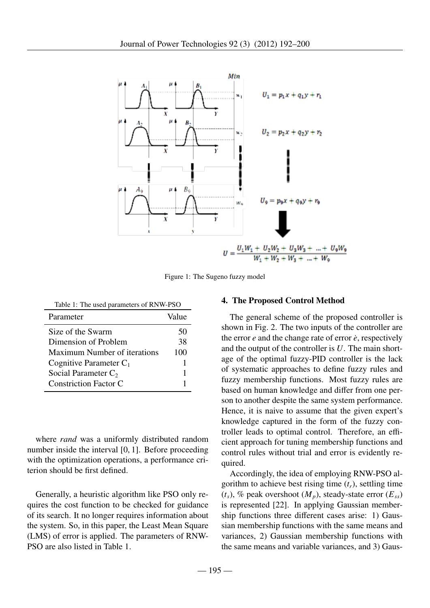

Figure 1: The Sugeno fuzzy model

| Table 1: The used parameters of RNW-PSO |       |  |  |
|-----------------------------------------|-------|--|--|
| Parameter                               | Value |  |  |
| Size of the Swarm                       | 50    |  |  |
| Dimension of Problem                    | 38    |  |  |
| Maximum Number of iterations            | 100   |  |  |
| Cognitive Parameter $C_1$               |       |  |  |

Social Parameter  $C_2$  1 Constriction Factor C 1

where *rand* was a uniformly distributed random number inside the interval [0, 1]. Before proceeding with the optimization operations, a performance criterion should be first defined.

Generally, a heuristic algorithm like PSO only requires the cost function to be checked for guidance of its search. It no longer requires information about the system. So, in this paper, the Least Mean Square (LMS) of error is applied. The parameters of RNW-PSO are also listed in Table 1.

#### 4. The Proposed Control Method

The general scheme of the proposed controller is shown in Fig. 2. The two inputs of the controller are the error  $e$  and the change rate of error  $\dot{e}$ , respectively and the output of the controller is *U*. The main shortage of the optimal fuzzy-PID controller is the lack of systematic approaches to define fuzzy rules and fuzzy membership functions. Most fuzzy rules are based on human knowledge and differ from one person to another despite the same system performance. Hence, it is naive to assume that the given expert's knowledge captured in the form of the fuzzy controller leads to optimal control. Therefore, an efficient approach for tuning membership functions and control rules without trial and error is evidently required.

Accordingly, the idea of employing RNW-PSO algorithm to achieve best rising time  $(t_r)$ , settling time  $(t_s)$ , % peak overshoot  $(M_p)$ , steady-state error  $(E_{ss})$ is represented [22]. In applying Gaussian membership functions three different cases arise: 1) Gaussian membership functions with the same means and variances, 2) Gaussian membership functions with the same means and variable variances, and 3) Gaus-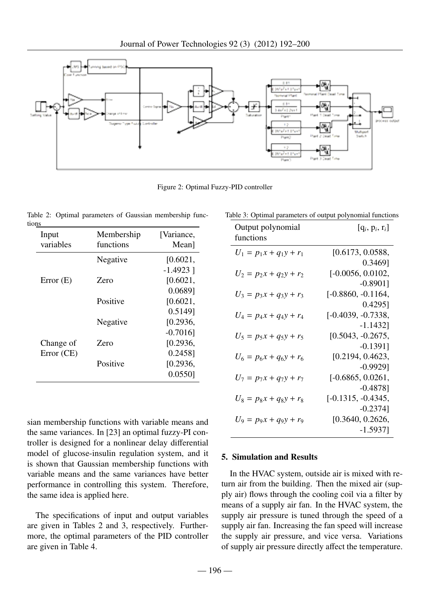

Figure 2: Optimal Fuzzy-PID controller

|       |  |  | Table 2: Optimal parameters of Gaussian membership func- |  |
|-------|--|--|----------------------------------------------------------|--|
| tions |  |  |                                                          |  |

| Input      | Membership | [Variance,  |
|------------|------------|-------------|
| variables  | functions  | Mean]       |
|            | Negative   | [0.6021,    |
|            |            | $-1.4923$ ] |
| Error(E)   | Zero       | [0.6021,    |
|            |            | 0.0689]     |
|            | Positive   | [0.6021,    |
|            |            | 0.51491     |
|            | Negative   | [0.2936,    |
|            |            | $-0.7016$   |
| Change of  | Zero       | [0.2936,    |
| Error (CE) |            | 0.24581     |
|            | Positive   | [0.2936,    |
|            |            | $0.0550$ ]  |

sian membership functions with variable means and the same variances. In [23] an optimal fuzzy-PI controller is designed for a nonlinear delay differential model of glucose-insulin regulation system, and it is shown that Gaussian membership functions with variable means and the same variances have better performance in controlling this system. Therefore, the same idea is applied here.

The specifications of input and output variables are given in Tables 2 and 3, respectively. Furthermore, the optimal parameters of the PID controller are given in Table 4.

|  |  |  |  | Table 3: Optimal parameters of output polynomial functions |  |
|--|--|--|--|------------------------------------------------------------|--|
|--|--|--|--|------------------------------------------------------------|--|

| Output polynomial<br>functions                         | $[q_i, p_i, r_i]$    |
|--------------------------------------------------------|----------------------|
| $U_1 = p_1 x + q_1 y + r_1$                            | [0.6173, 0.0588,     |
|                                                        | $0.3469$ ]           |
| $U_2 = p_2 x + q_2 y + r_2$                            | $[-0.0056, 0.0102,$  |
|                                                        | $-0.8901$ ]          |
| $U_3 = p_3x + q_3y + r_3$                              | $[-0.8860, -0.1164,$ |
|                                                        | $0.4295$ ]           |
| $U_4 = p_4x + q_4y + r_4$                              | $[-0.4039, -0.7338,$ |
|                                                        | $-1.1432$ ]          |
| $U_5 = p_5x + q_5y + r_5$                              | $[0.5043, -0.2675,$  |
|                                                        | $-0.1391$ ]          |
| $U_6 = p_6x + q_6y + r_6$                              | [0.2194, 0.4623,     |
|                                                        | $-0.9929$ ]          |
| $U_7 = p_7x + q_7y + r_7$                              | $[-0.6865, 0.0261,$  |
|                                                        | $-0.4878$ ]          |
|                                                        | $[-0.1315, -0.4345,$ |
|                                                        | $-0.2374$ ]          |
|                                                        |                      |
|                                                        | $-1.5937$            |
| $U_8 = p_8x + q_8y + r_8$<br>$U_9 = p_9x + q_9y + r_9$ | [0.3640, 0.2626,     |

## 5. Simulation and Results

In the HVAC system, outside air is mixed with return air from the building. Then the mixed air (supply air) flows through the cooling coil via a filter by means of a supply air fan. In the HVAC system, the supply air pressure is tuned through the speed of a supply air fan. Increasing the fan speed will increase the supply air pressure, and vice versa. Variations of supply air pressure directly affect the temperature.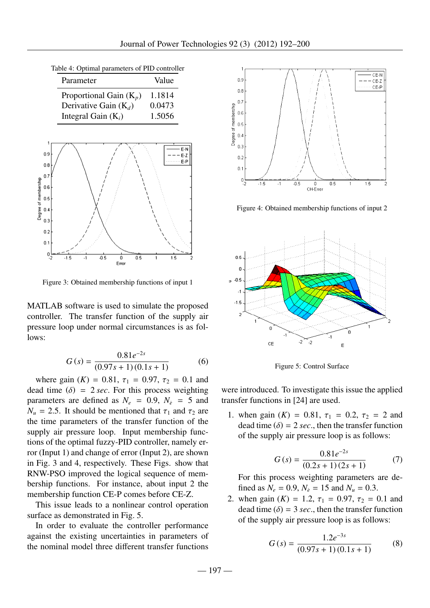|  |  |  | Table 4: Optimal parameters of PID controller |  |  |
|--|--|--|-----------------------------------------------|--|--|
|--|--|--|-----------------------------------------------|--|--|

| Parameter                 | Value  |
|---------------------------|--------|
| Proportional Gain $(K_p)$ | 1.1814 |
| Derivative Gain $(K_d)$   | 0.0473 |
| Integral Gain $(K_i)$     | 1.5056 |



Figure 3: Obtained membership functions of input 1

MATLAB software is used to simulate the proposed controller. The transfer function of the supply air pressure loop under normal circumstances is as follows:

$$
G(s) = \frac{0.81e^{-2s}}{(0.97s + 1)(0.1s + 1)}
$$
 (6)

where gain  $(K) = 0.81$ ,  $\tau_1 = 0.97$ ,  $\tau_2 = 0.1$  and time  $(6) - 2$  sec. For this process weighting dead time  $(\delta) = 2 \sec$ . For this process weighting parameters are defined as  $N_e = 0.9$ ,  $N_{\dot{e}} = 5$  and  $N_u = 2.5$ . It should be mentioned that  $\tau_1$  and  $\tau_2$  are the time parameters of the transfer function of the supply air pressure loop. Input membership functions of the optimal fuzzy-PID controller, namely error (Input 1) and change of error (Input 2), are shown in Fig. 3 and 4, respectively. These Figs. show that RNW-PSO improved the logical sequence of membership functions. For instance, about input 2 the membership function CE-P comes before CE-Z.

This issue leads to a nonlinear control operation surface as demonstrated in Fig. 5.

In order to evaluate the controller performance against the existing uncertainties in parameters of the nominal model three different transfer functions



Figure 4: Obtained membership functions of input 2



Figure 5: Control Surface

were introduced. To investigate this issue the applied transfer functions in [24] are used.

1. when gain  $(K) = 0.81$ ,  $\tau_1 = 0.2$ ,  $\tau_2 = 2$  and dead time  $(\delta) = 2 \text{ sec}$ , then the transfer function of the supply air pressure loop is as follows:

$$
G(s) = \frac{0.81e^{-2s}}{(0.2s + 1)(2s + 1)}
$$
(7)

For this process weighting parameters are defined as  $N_e = 0.9$ ,  $N_{\dot{e}} = 15$  and  $N_u = 0.3$ .

2. when gain  $(K) = 1.2$ ,  $\tau_1 = 0.97$ ,  $\tau_2 = 0.1$  and dead time  $(\delta) = 3 \text{ sec}$ , then the transfer function of the supply air pressure loop is as follows:

$$
G(s) = \frac{1.2e^{-3s}}{(0.97s + 1)(0.1s + 1)}
$$
 (8)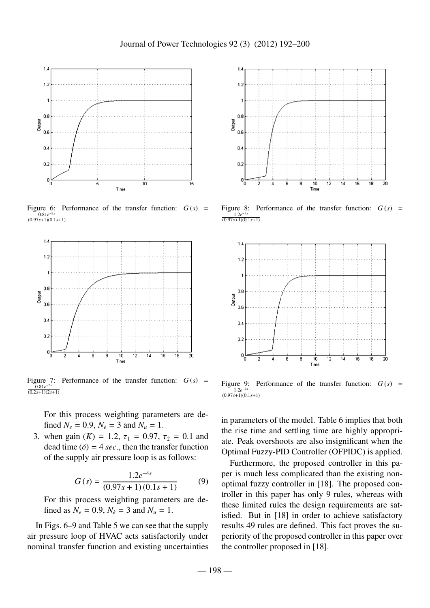

Figure 6: Performance of the transfer function:  $G(s)$  =  $\frac{0.81e^{-2s}}{s+1)(0.1}$ (0.97*s*+1)(0.1*s*+1)



Figure 7: Performance of the transfer function:  $G(s)$  =  $\frac{0.81e^{-2s}}{2s+11/2s}$ (0.2*s*+1)(2*s*+1)

For this process weighting parameters are defined  $N_e = 0.9$ ,  $N_e = 3$  and  $N_u = 1$ .

3. when gain  $(K) = 1.2$ ,  $\tau_1 = 0.97$ ,  $\tau_2 = 0.1$  and dead time  $(\delta) = 4$  *sec*., then the transfer function of the supply air pressure loop is as follows:

$$
G(s) = \frac{1.2e^{-4s}}{(0.97s + 1)(0.1s + 1)}
$$
(9)

For this process weighting parameters are defined as  $N_e = 0.9$ ,  $N_{\dot{e}} = 3$  and  $N_u = 1$ .

In Figs. 6–9 and Table 5 we can see that the supply air pressure loop of HVAC acts satisfactorily under nominal transfer function and existing uncertainties



Figure 8: Performance of the transfer function:  $G(s)$  =  $\frac{1.2e^{-3s}}{(s+1)(0)}$ (0.97*s*+1)(0.1*s*+1)



Figure 9: Performance of the transfer function:  $G(s)$  =  $\frac{1.2e^{-4s}}{(s+1)(0)}$ (0.97*s*+1)(0.1*s*+1)

in parameters of the model. Table 6 implies that both the rise time and settling time are highly appropriate. Peak overshoots are also insignificant when the Optimal Fuzzy-PID Controller (OFPIDC) is applied.

Furthermore, the proposed controller in this paper is much less complicated than the existing nonoptimal fuzzy controller in [18]. The proposed controller in this paper has only 9 rules, whereas with these limited rules the design requirements are satisfied. But in [18] in order to achieve satisfactory results 49 rules are defined. This fact proves the superiority of the proposed controller in this paper over the controller proposed in [18].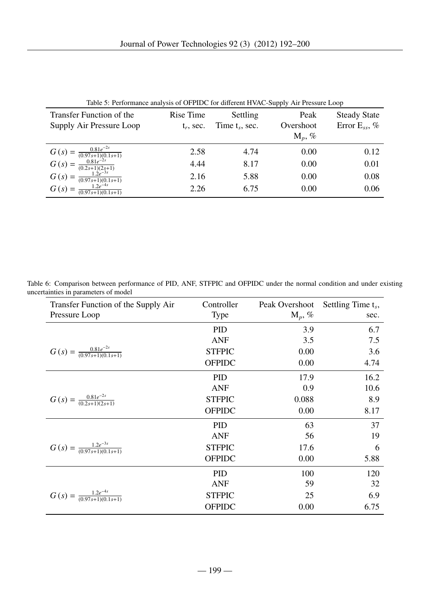| Table 5: Performance analysis of OFPIDC for different HVAC-Supply Air Pressure Loop           |              |              |           |                     |  |
|-----------------------------------------------------------------------------------------------|--------------|--------------|-----------|---------------------|--|
| Transfer Function of the                                                                      | Rise Time    | Settling     | Peak      | <b>Steady State</b> |  |
| Supply Air Pressure Loop                                                                      | $t_r$ , sec. | Time t, sec. | Overshoot | Error $E_{ss}$ , %  |  |
|                                                                                               |              |              | $M_p, \%$ |                     |  |
| $G(s) = \frac{0.81e^{-2s}}{(0.97s+1)(0.1s+1)}$<br>$G(s) = \frac{0.81e^{-2s}}{(0.2s+1)(2s+1)}$ | 2.58         | 4.74         | 0.00      | 0.12                |  |
|                                                                                               | 4.44         | 8.17         | 0.00      | 0.01                |  |
| $G(s) = \frac{1.2e^{-3s}}{(0.97s+1)(0.1s+1)}$                                                 | 2.16         | 5.88         | 0.00      | 0.08                |  |
| $G(s) = \frac{1.2e^{-4s}}{(0.07e+1)(0.1)}$<br>$\frac{1}{(0.97s+1)(0.1s+1)}$                   | 2.26         | 6.75         | 0.00      | 0.06                |  |
|                                                                                               |              |              |           |                     |  |

| Table 5: Performance analysis of OFPIDC for different HVAC-Supply Air Pressure Loop |  |  |
|-------------------------------------------------------------------------------------|--|--|
|-------------------------------------------------------------------------------------|--|--|

Table 6: Comparison between performance of PID, ANF, STFPIC and OFPIDC under the normal condition and under existing uncertainties in parameters of model

| Transfer Function of the Supply Air            | Controller    | Peak Overshoot | Settling Time $t_s$ , |
|------------------------------------------------|---------------|----------------|-----------------------|
| Pressure Loop                                  | <b>Type</b>   | $M_p, \%$      | sec.                  |
|                                                | PID           | 3.9            | 6.7                   |
|                                                | <b>ANF</b>    | 3.5            | 7.5                   |
| $G(s) = \frac{0.81e^{-2s}}{(0.97s+1)(0.1s+1)}$ | <b>STFPIC</b> | 0.00           | 3.6                   |
|                                                | <b>OFPIDC</b> | 0.00           | 4.74                  |
|                                                | <b>PID</b>    | 17.9           | 16.2                  |
|                                                | <b>ANF</b>    | 0.9            | 10.6                  |
| $G(s) = \frac{0.81e^{-2s}}{(0.2s+1)(2s+1)}$    | <b>STFPIC</b> | 0.088          | 8.9                   |
|                                                | <b>OFPIDC</b> | 0.00           | 8.17                  |
|                                                | <b>PID</b>    | 63             | 37                    |
|                                                | <b>ANF</b>    | 56             | 19                    |
| $G(s) = \frac{1.2e^{-3s}}{(0.97s+1)(0.1s+1)}$  | <b>STFPIC</b> | 17.6           | 6                     |
|                                                | <b>OFPIDC</b> | 0.00           | 5.88                  |
|                                                | <b>PID</b>    | 100            | 120                   |
|                                                | <b>ANF</b>    | 59             | 32                    |
| $G(s) = \frac{1.2e^{-4s}}{(0.97s+1)(0.1s+1)}$  | <b>STFPIC</b> | 25             | 6.9                   |
|                                                | <b>OFPIDC</b> | 0.00           | 6.75                  |